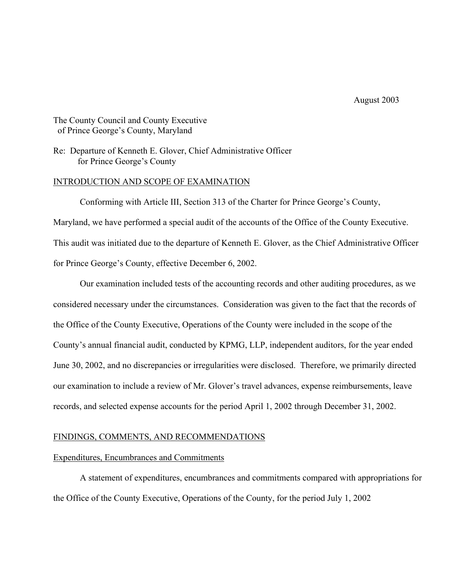# The County Council and County Executive of Prince George's County, Maryland

# Re: Departure of Kenneth E. Glover, Chief Administrative Officer for Prince George's County

### INTRODUCTION AND SCOPE OF EXAMINATION

 Conforming with Article III, Section 313 of the Charter for Prince George's County, Maryland, we have performed a special audit of the accounts of the Office of the County Executive. This audit was initiated due to the departure of Kenneth E. Glover, as the Chief Administrative Officer for Prince George's County, effective December 6, 2002.

 Our examination included tests of the accounting records and other auditing procedures, as we considered necessary under the circumstances. Consideration was given to the fact that the records of the Office of the County Executive, Operations of the County were included in the scope of the County's annual financial audit, conducted by KPMG, LLP, independent auditors, for the year ended June 30, 2002, and no discrepancies or irregularities were disclosed. Therefore, we primarily directed our examination to include a review of Mr. Glover's travel advances, expense reimbursements, leave records, and selected expense accounts for the period April 1, 2002 through December 31, 2002.

### FINDINGS, COMMENTS, AND RECOMMENDATIONS

#### Expenditures, Encumbrances and Commitments

 A statement of expenditures, encumbrances and commitments compared with appropriations for the Office of the County Executive, Operations of the County, for the period July 1, 2002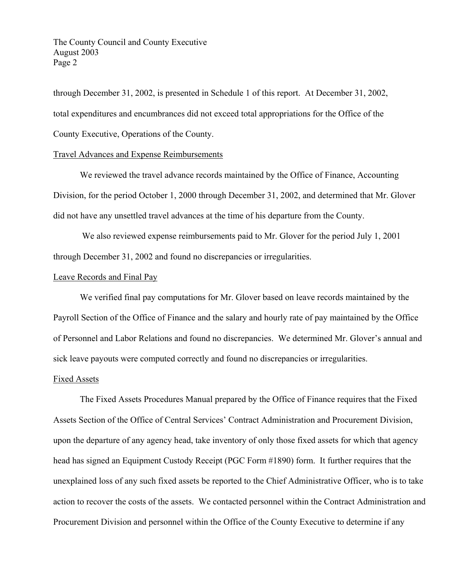The County Council and County Executive August 2003 Page 2

through December 31, 2002, is presented in Schedule 1 of this report. At December 31, 2002, total expenditures and encumbrances did not exceed total appropriations for the Office of the County Executive, Operations of the County.

# Travel Advances and Expense Reimbursements

 We reviewed the travel advance records maintained by the Office of Finance, Accounting Division, for the period October 1, 2000 through December 31, 2002, and determined that Mr. Glover did not have any unsettled travel advances at the time of his departure from the County.

 We also reviewed expense reimbursements paid to Mr. Glover for the period July 1, 2001 through December 31, 2002 and found no discrepancies or irregularities.

## Leave Records and Final Pay

 We verified final pay computations for Mr. Glover based on leave records maintained by the Payroll Section of the Office of Finance and the salary and hourly rate of pay maintained by the Office of Personnel and Labor Relations and found no discrepancies. We determined Mr. Glover's annual and sick leave payouts were computed correctly and found no discrepancies or irregularities.

## Fixed Assets

 The Fixed Assets Procedures Manual prepared by the Office of Finance requires that the Fixed Assets Section of the Office of Central Services' Contract Administration and Procurement Division, upon the departure of any agency head, take inventory of only those fixed assets for which that agency head has signed an Equipment Custody Receipt (PGC Form #1890) form. It further requires that the unexplained loss of any such fixed assets be reported to the Chief Administrative Officer, who is to take action to recover the costs of the assets. We contacted personnel within the Contract Administration and Procurement Division and personnel within the Office of the County Executive to determine if any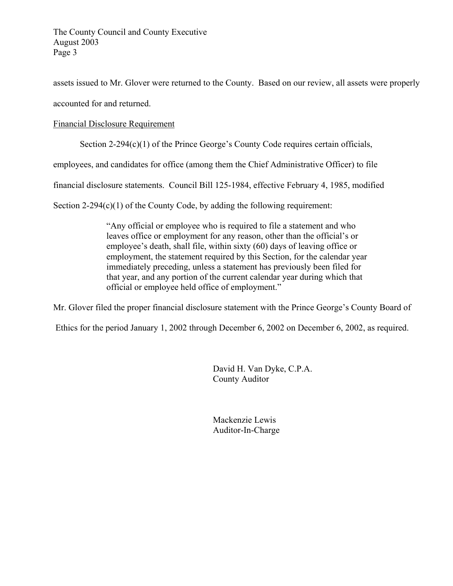assets issued to Mr. Glover were returned to the County. Based on our review, all assets were properly accounted for and returned.

# Financial Disclosure Requirement

Section 2-294(c)(1) of the Prince George's County Code requires certain officials,

employees, and candidates for office (among them the Chief Administrative Officer) to file

financial disclosure statements. Council Bill 125-1984, effective February 4, 1985, modified

Section  $2-294(c)(1)$  of the County Code, by adding the following requirement:

 "Any official or employee who is required to file a statement and who leaves office or employment for any reason, other than the official's or employee's death, shall file, within sixty (60) days of leaving office or employment, the statement required by this Section, for the calendar year immediately preceding, unless a statement has previously been filed for that year, and any portion of the current calendar year during which that official or employee held office of employment."

Mr. Glover filed the proper financial disclosure statement with the Prince George's County Board of

Ethics for the period January 1, 2002 through December 6, 2002 on December 6, 2002, as required.

David H. Van Dyke, C.P.A. County Auditor

Mackenzie Lewis Auditor-In-Charge